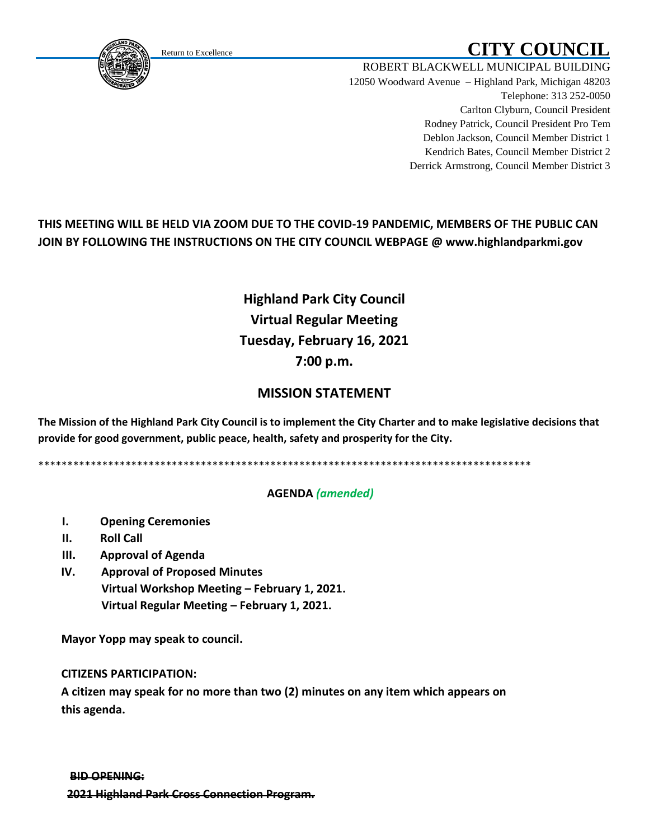# Return to Excellence **CITY COUNCIL**

Telephone: 313 252-0050

ROBERT BLACKWELL MUNICIPAL BUILDING 12050 Woodward Avenue – Highland Park, Michigan 48203

Carlton Clyburn, Council President Rodney Patrick, Council President Pro Tem Deblon Jackson, Council Member District 1

Kendrich Bates, Council Member District 2 Derrick Armstrong, Council Member District 3

## **THIS MEETING WILL BE HELD VIA ZOOM DUE TO THE COVID-19 PANDEMIC, MEMBERS OF THE PUBLIC CAN JOIN BY FOLLOWING THE INSTRUCTIONS ON THE CITY COUNCIL WEBPAGE @ www.highlandparkmi.gov**

## **Highland Park City Council Virtual Regular Meeting Tuesday, February 16, 2021 7:00 p.m.**

### **MISSION STATEMENT**

**The Mission of the Highland Park City Council is to implement the City Charter and to make legislative decisions that provide for good government, public peace, health, safety and prosperity for the City.**

\*\*\*\*\*\*\*\*\*\*\*\*\*\*\*\*\*\*\*\*\*\*\*\*\*\*\*\*\*\*\*\*\*\*\*\*\*\*\*\*\*\*\*\*\*\*\*\*\*\*\*\*\*\*\*\*\*\*\*\*\*\*\*\*\*\*\*\*\*\*\*\*\*\*\*\*\*\*\*\*\*\*\*\*\*

#### **AGENDA** *(amended)*

- **I. Opening Ceremonies**
- **II. Roll Call**
- **III. Approval of Agenda**
- **IV. Approval of Proposed Minutes Virtual Workshop Meeting – February 1, 2021. Virtual Regular Meeting – February 1, 2021.**

 **Mayor Yopp may speak to council.** 

 **CITIZENS PARTICIPATION:**

 **A citizen may speak for no more than two (2) minutes on any item which appears on this agenda.**

<span id="page-0-0"></span>